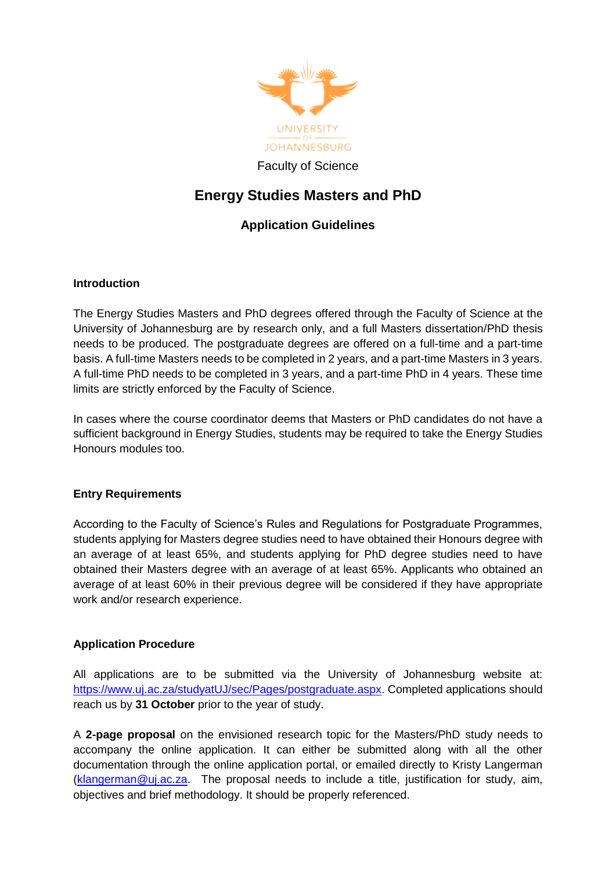

# **Energy Studies Masters and PhD**

## **Application Guidelines**

### **Introduction**

The Energy Studies Masters and PhD degrees offered through the Faculty of Science at the University of Johannesburg are by research only, and a full Masters dissertation/PhD thesis needs to be produced. The postgraduate degrees are offered on a full-time and a part-time basis. A full-time Masters needs to be completed in 2 years, and a part-time Masters in 3 years. A full-time PhD needs to be completed in 3 years, and a part-time PhD in 4 years. These time limits are strictly enforced by the Faculty of Science.

In cases where the course coordinator deems that Masters or PhD candidates do not have a sufficient background in Energy Studies, students may be required to take the Energy Studies Honours modules too.

#### **Entry Requirements**

According to the Faculty of Science's Rules and Regulations for Postgraduate Programmes, students applying for Masters degree studies need to have obtained their Honours degree with an average of at least 65%, and students applying for PhD degree studies need to have obtained their Masters degree with an average of at least 65%. Applicants who obtained an average of at least 60% in their previous degree will be considered if they have appropriate work and/or research experience.

### **Application Procedure**

All applications are to be submitted via the University of Johannesburg website at: [https://www.uj.ac.za/studyatUJ/sec/Pages/postgraduate.aspx.](https://www.uj.ac.za/studyatUJ/sec/Pages/postgraduate.aspx) Completed applications should reach us by **31 October** prior to the year of study.

A **2-page proposal** on the envisioned research topic for the Masters/PhD study needs to accompany the online application. It can either be submitted along with all the other documentation through the online application portal, or emailed directly to Kristy Langerman [\(klangerman@uj.ac.za.](mailto:klangerman@uj.ac.za) The proposal needs to include a title, justification for study, aim, objectives and brief methodology. It should be properly referenced.